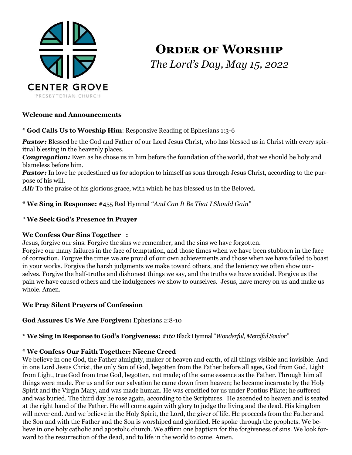

# **Order of Worship** *The Lord's Day, May 15, 2022*

# **Welcome and Announcements**

\* **God Calls Us to Worship Him**: Responsive Reading of Ephesians 1:3-6

Pastor: Blessed be the God and Father of our Lord Jesus Christ, who has blessed us in Christ with every spiritual blessing in the heavenly places.

**Congregation:** Even as he chose us in him before the foundation of the world, that we should be holy and blameless before him.

*Pastor:* In love he predestined us for adoption to himself as sons through Jesus Christ, according to the purpose of his will.

All: To the praise of his glorious grace, with which he has blessed us in the Beloved.

\* **We Sing in Response:** #455 Red Hymnal "*And Can It Be That I Should Gain"*

# *\** **We Seek God's Presence in Prayer**

# **We Confess Our Sins Together :**

Jesus, forgive our sins. Forgive the sins we remember, and the sins we have forgotten.

Forgive our many failures in the face of temptation, and those times when we have been stubborn in the face of correction. Forgive the times we are proud of our own achievements and those when we have failed to boast in your works. Forgive the harsh judgments we make toward others, and the leniency we often show ourselves. Forgive the half-truths and dishonest things we say, and the truths we have avoided. Forgive us the pain we have caused others and the indulgences we show to ourselves. Jesus, have mercy on us and make us whole. Amen.

# **We Pray Silent Prayers of Confession**

**God Assures Us We Are Forgiven:** Ephesians 2:8-10

\* **We Sing In Response to God's Forgiveness:** #162 Black Hymnal "*Wonderful, Merciful Savior"*

#### \* **We Confess Our Faith Together: Nicene Creed**

We believe in one God, the Father almighty, maker of heaven and earth, of all things visible and invisible. And in one Lord Jesus Christ, the only Son of God, begotten from the Father before all ages, God from God, Light from Light, true God from true God, begotten, not made; of the same essence as the Father. Through him all things were made. For us and for our salvation he came down from heaven; he became incarnate by the Holy Spirit and the Virgin Mary, and was made human. He was crucified for us under Pontius Pilate; he suffered and was buried. The third day he rose again, according to the Scriptures. He ascended to heaven and is seated at the right hand of the Father. He will come again with glory to judge the living and the dead. His kingdom will never end. And we believe in the Holy Spirit, the Lord, the giver of life. He proceeds from the Father and the Son and with the Father and the Son is worshiped and glorified. He spoke through the prophets. We believe in one holy catholic and apostolic church. We affirm one baptism for the forgiveness of sins. We look forward to the resurrection of the dead, and to life in the world to come. Amen.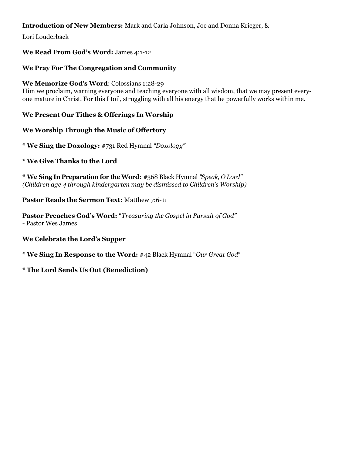# **Introduction of New Members:** Mark and Carla Johnson, Joe and Donna Krieger, &

Lori Louderback

## **We Read From God's Word:** James 4:1-12

## **We Pray For The Congregation and Community**

**We Memorize God's Word**: Colossians 1:28-29

Him we proclaim, warning everyone and teaching everyone with all wisdom, that we may present everyone mature in Christ. For this I toil, struggling with all his energy that he powerfully works within me.

**We Present Our Tithes & Offerings In Worship** 

#### **We Worship Through the Music of Offertory**

\* **We Sing the Doxology:** #731 Red Hymnal *"Doxology"*

#### \* **We Give Thanks to the Lord**

\* **We Sing In Preparation for the Word:** #368 Black Hymnal *"Speak, O Lord" (Children age 4 through kindergarten may be dismissed to Children's Worship)*

#### **Pastor Reads the Sermon Text:** Matthew 7:6-11

**Pastor Preaches God's Word:** "*Treasuring the Gospel in Pursuit of God" -* Pastor Wes James

#### **We Celebrate the Lord's Supper**

\* **We Sing In Response to the Word:** #42 Black Hymnal "*Our Great God*"

#### \* **The Lord Sends Us Out (Benediction)**